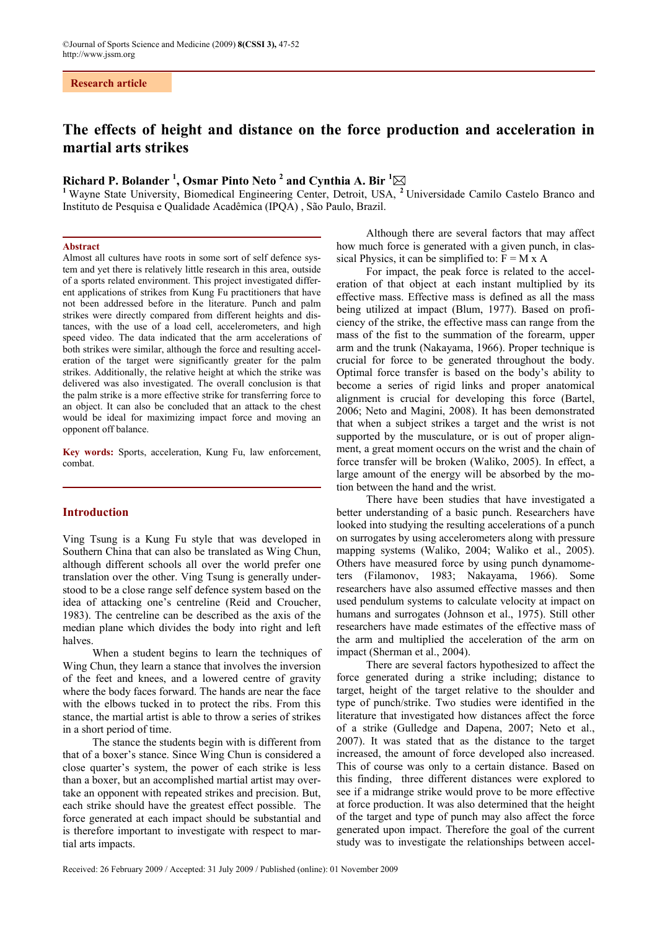# **The effects of height and distance on the force production and acceleration in martial arts strikes**

## **Richard P. Bolander <sup>1</sup> , Osmar Pinto Neto 2 and Cynthia A. Bir <sup>1</sup>**

<sup>1</sup> Wayne State University, Biomedical Engineering Center, Detroit, USA, <sup>2</sup> Universidade Camilo Castelo Branco and Instituto de Pesquisa e Qualidade Acadêmica (IPQA) , São Paulo, Brazil.

### **Abstract**

Almost all cultures have roots in some sort of self defence system and yet there is relatively little research in this area, outside of a sports related environment. This project investigated different applications of strikes from Kung Fu practitioners that have not been addressed before in the literature. Punch and palm strikes were directly compared from different heights and distances, with the use of a load cell, accelerometers, and high speed video. The data indicated that the arm accelerations of both strikes were similar, although the force and resulting acceleration of the target were significantly greater for the palm strikes. Additionally, the relative height at which the strike was delivered was also investigated. The overall conclusion is that the palm strike is a more effective strike for transferring force to an object. It can also be concluded that an attack to the chest would be ideal for maximizing impact force and moving an opponent off balance.

**Key words:** Sports, acceleration, Kung Fu, law enforcement, combat.

## **Introduction**

Ving Tsung is a Kung Fu style that was developed in Southern China that can also be translated as Wing Chun, although different schools all over the world prefer one translation over the other. Ving Tsung is generally understood to be a close range self defence system based on the idea of attacking one's centreline (Reid and Croucher, 1983). The centreline can be described as the axis of the median plane which divides the body into right and left halves.

When a student begins to learn the techniques of Wing Chun, they learn a stance that involves the inversion of the feet and knees, and a lowered centre of gravity where the body faces forward. The hands are near the face with the elbows tucked in to protect the ribs. From this stance, the martial artist is able to throw a series of strikes in a short period of time.

The stance the students begin with is different from that of a boxer's stance. Since Wing Chun is considered a close quarter's system, the power of each strike is less than a boxer, but an accomplished martial artist may overtake an opponent with repeated strikes and precision. But, each strike should have the greatest effect possible. The force generated at each impact should be substantial and is therefore important to investigate with respect to martial arts impacts.

Although there are several factors that may affect how much force is generated with a given punch, in classical Physics, it can be simplified to:  $F = M x A$ 

For impact, the peak force is related to the acceleration of that object at each instant multiplied by its effective mass. Effective mass is defined as all the mass being utilized at impact (Blum, 1977). Based on proficiency of the strike, the effective mass can range from the mass of the fist to the summation of the forearm, upper arm and the trunk (Nakayama, 1966). Proper technique is crucial for force to be generated throughout the body. Optimal force transfer is based on the body's ability to become a series of rigid links and proper anatomical alignment is crucial for developing this force (Bartel, 2006; Neto and Magini, 2008). It has been demonstrated that when a subject strikes a target and the wrist is not supported by the musculature, or is out of proper alignment, a great moment occurs on the wrist and the chain of force transfer will be broken (Waliko, 2005). In effect, a large amount of the energy will be absorbed by the motion between the hand and the wrist.

There have been studies that have investigated a better understanding of a basic punch. Researchers have looked into studying the resulting accelerations of a punch on surrogates by using accelerometers along with pressure mapping systems (Waliko, 2004; Waliko et al., 2005). Others have measured force by using punch dynamometers (Filamonov, 1983; Nakayama, 1966). Some researchers have also assumed effective masses and then used pendulum systems to calculate velocity at impact on humans and surrogates (Johnson et al., 1975). Still other researchers have made estimates of the effective mass of the arm and multiplied the acceleration of the arm on impact (Sherman et al., 2004).

There are several factors hypothesized to affect the force generated during a strike including; distance to target, height of the target relative to the shoulder and type of punch/strike. Two studies were identified in the literature that investigated how distances affect the force of a strike (Gulledge and Dapena, 2007; Neto et al., 2007). It was stated that as the distance to the target increased, the amount of force developed also increased. This of course was only to a certain distance. Based on this finding, three different distances were explored to see if a midrange strike would prove to be more effective at force production. It was also determined that the height of the target and type of punch may also affect the force generated upon impact. Therefore the goal of the current study was to investigate the relationships between accel-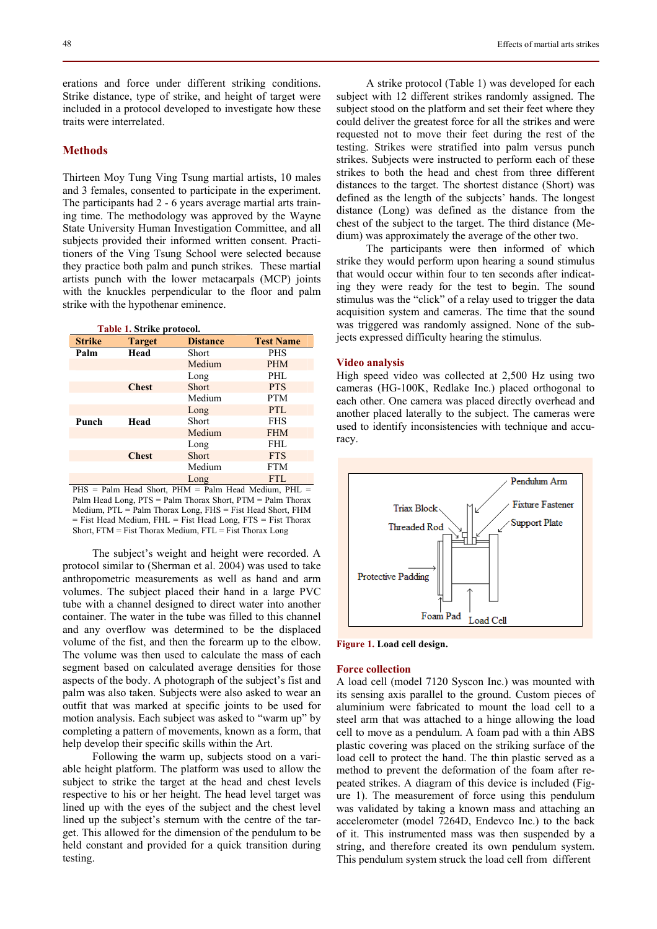erations and force under different striking conditions. Strike distance, type of strike, and height of target were included in a protocol developed to investigate how these traits were interrelated.

## **Methods**

Thirteen Moy Tung Ving Tsung martial artists, 10 males and 3 females, consented to participate in the experiment. The participants had 2 - 6 years average martial arts training time. The methodology was approved by the Wayne State University Human Investigation Committee, and all subjects provided their informed written consent. Practitioners of the Ving Tsung School were selected because they practice both palm and punch strikes. These martial artists punch with the lower metacarpals (MCP) joints with the knuckles perpendicular to the floor and palm strike with the hypothenar eminence.

| Table 1. Strike protocol. |               |                 |                  |  |  |
|---------------------------|---------------|-----------------|------------------|--|--|
| <b>Strike</b>             | <b>Target</b> | <b>Distance</b> | <b>Test Name</b> |  |  |
| Palm                      | Head          | Short           | <b>PHS</b>       |  |  |
|                           |               | Medium          | <b>PHM</b>       |  |  |
|                           |               | Long            | PHI.             |  |  |
|                           | <b>Chest</b>  | <b>Short</b>    | <b>PTS</b>       |  |  |
|                           |               | Medium          | <b>PTM</b>       |  |  |
|                           |               | Long            | PTL              |  |  |
| Punch                     | Head          | Short           | <b>FHS</b>       |  |  |
|                           |               | Medium          | <b>FHM</b>       |  |  |
|                           |               | Long            | FHL              |  |  |
|                           | <b>Chest</b>  | <b>Short</b>    | <b>FTS</b>       |  |  |
|                           |               | Medium          | <b>FTM</b>       |  |  |
|                           |               | Long            | <b>FTL</b>       |  |  |

 $PHS =$  Palm Head Short,  $PHM =$  Palm Head Medium,  $PHL =$ Palm Head Long, PTS = Palm Thorax Short, PTM = Palm Thorax Medium, PTL = Palm Thorax Long, FHS = Fist Head Short, FHM  $=$  Fist Head Medium, FHL  $=$  Fist Head Long, FTS  $=$  Fist Thorax Short, FTM = Fist Thorax Medium, FTL = Fist Thorax Long

The subject's weight and height were recorded. A protocol similar to (Sherman et al. 2004) was used to take anthropometric measurements as well as hand and arm volumes. The subject placed their hand in a large PVC tube with a channel designed to direct water into another container. The water in the tube was filled to this channel and any overflow was determined to be the displaced volume of the fist, and then the forearm up to the elbow. The volume was then used to calculate the mass of each segment based on calculated average densities for those aspects of the body. A photograph of the subject's fist and palm was also taken. Subjects were also asked to wear an outfit that was marked at specific joints to be used for motion analysis. Each subject was asked to "warm up" by completing a pattern of movements, known as a form, that help develop their specific skills within the Art.

Following the warm up, subjects stood on a variable height platform. The platform was used to allow the subject to strike the target at the head and chest levels respective to his or her height. The head level target was lined up with the eyes of the subject and the chest level lined up the subject's sternum with the centre of the target. This allowed for the dimension of the pendulum to be held constant and provided for a quick transition during testing.

A strike protocol (Table 1) was developed for each subject with 12 different strikes randomly assigned. The subject stood on the platform and set their feet where they could deliver the greatest force for all the strikes and were requested not to move their feet during the rest of the testing. Strikes were stratified into palm versus punch strikes. Subjects were instructed to perform each of these strikes to both the head and chest from three different distances to the target. The shortest distance (Short) was defined as the length of the subjects' hands. The longest distance (Long) was defined as the distance from the chest of the subject to the target. The third distance (Medium) was approximately the average of the other two.

The participants were then informed of which strike they would perform upon hearing a sound stimulus that would occur within four to ten seconds after indicating they were ready for the test to begin. The sound stimulus was the "click" of a relay used to trigger the data acquisition system and cameras. The time that the sound was triggered was randomly assigned. None of the subjects expressed difficulty hearing the stimulus.

## **Video analysis**

High speed video was collected at 2,500 Hz using two cameras (HG-100K, Redlake Inc.) placed orthogonal to each other. One camera was placed directly overhead and another placed laterally to the subject. The cameras were used to identify inconsistencies with technique and accuracy.



**Figure 1. Load cell design.** 

## **Force collection**

A load cell (model 7120 Syscon Inc.) was mounted with its sensing axis parallel to the ground. Custom pieces of aluminium were fabricated to mount the load cell to a steel arm that was attached to a hinge allowing the load cell to move as a pendulum. A foam pad with a thin ABS plastic covering was placed on the striking surface of the load cell to protect the hand. The thin plastic served as a method to prevent the deformation of the foam after repeated strikes. A diagram of this device is included (Figure 1). The measurement of force using this pendulum was validated by taking a known mass and attaching an accelerometer (model 7264D, Endevco Inc.) to the back of it. This instrumented mass was then suspended by a string, and therefore created its own pendulum system. This pendulum system struck the load cell from different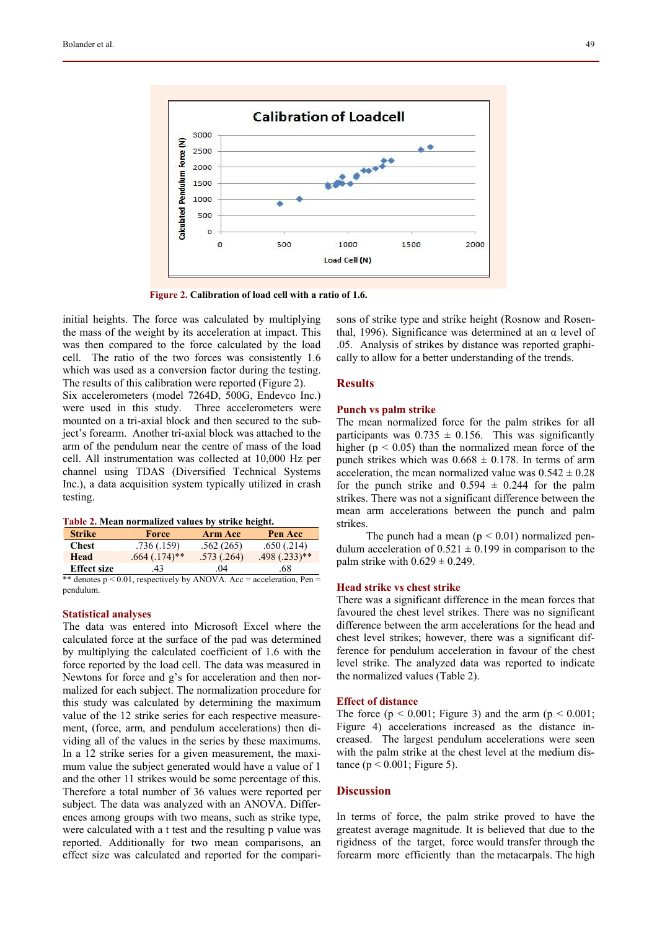

 **Figure 2. Calibration of load cell with a ratio of 1.6.** 

initial heights. The force was calculated by multiplying the mass of the weight by its acceleration at impact. This was then compared to the force calculated by the load cell. The ratio of the two forces was consistently 1.6 which was used as a conversion factor during the testing. The results of this calibration were reported (Figure 2).

Six accelerometers (model 7264D, 500G, Endevco Inc.) were used in this study. Three accelerometers were mounted on a tri-axial block and then secured to the subject's forearm. Another tri-axial block was attached to the arm of the pendulum near the centre of mass of the load cell. All instrumentation was collected at 10,000 Hz per channel using TDAS (Diversified Technical Systems Inc.), a data acquisition system typically utilized in crash testing.

|  | Table 2. Mean normalized values by strike height. |  |  |
|--|---------------------------------------------------|--|--|
|  |                                                   |  |  |

| <b>Strike</b>      | <b>Force</b>                                                           | <b>Arm Acc</b> | Pen Acc        |
|--------------------|------------------------------------------------------------------------|----------------|----------------|
| <b>Chest</b>       | .736(.159)                                                             | .562(265)      | .650(.214)     |
| Head               | $.664$ $(.174)$ **                                                     | .573(.264)     | $.498(.233)**$ |
| <b>Effect size</b> | 43                                                                     | 04             | .68            |
|                    | ** denotes $p \le 0.01$ respectively by ANOVA Acc = acceleration Pen = |                |                |

\*\* denotes  $p < 0.01$ , respectively by ANOVA. Acc = acceleration, Pen = pendulum.

## **Statistical analyses**

The data was entered into Microsoft Excel where the calculated force at the surface of the pad was determined by multiplying the calculated coefficient of 1.6 with the force reported by the load cell. The data was measured in Newtons for force and g's for acceleration and then normalized for each subject. The normalization procedure for this study was calculated by determining the maximum value of the 12 strike series for each respective measurement, (force, arm, and pendulum accelerations) then dividing all of the values in the series by these maximums. In a 12 strike series for a given measurement, the maximum value the subject generated would have a value of 1 and the other 11 strikes would be some percentage of this. Therefore a total number of 36 values were reported per subject. The data was analyzed with an ANOVA. Differences among groups with two means, such as strike type, were calculated with a t test and the resulting p value was reported. Additionally for two mean comparisons, an effect size was calculated and reported for the compari-

sons of strike type and strike height (Rosnow and Rosenthal, 1996). Significance was determined at an  $α$  level of .05. Analysis of strikes by distance was reported graphically to allow for a better understanding of the trends.

## **Results**

#### **Punch vs palm strike**

The mean normalized force for the palm strikes for all participants was  $0.735 \pm 0.156$ . This was significantly higher ( $p < 0.05$ ) than the normalized mean force of the punch strikes which was  $0.668 \pm 0.178$ . In terms of arm acceleration, the mean normalized value was  $0.542 \pm 0.28$ for the punch strike and  $0.594 \pm 0.244$  for the palm strikes. There was not a significant difference between the mean arm accelerations between the punch and palm strikes.

The punch had a mean  $(p < 0.01)$  normalized pendulum acceleration of  $0.521 \pm 0.199$  in comparison to the palm strike with  $0.629 \pm 0.249$ .

#### **Head strike vs chest strike**

There was a significant difference in the mean forces that favoured the chest level strikes. There was no significant difference between the arm accelerations for the head and chest level strikes; however, there was a significant difference for pendulum acceleration in favour of the chest level strike. The analyzed data was reported to indicate the normalized values (Table 2).

#### **Effect of distance**

The force ( $p < 0.001$ ; Figure 3) and the arm ( $p < 0.001$ ; Figure 4) accelerations increased as the distance increased. The largest pendulum accelerations were seen with the palm strike at the chest level at the medium distance ( $p < 0.001$ ; Figure 5).

## **Discussion**

In terms of force, the palm strike proved to have the greatest average magnitude. It is believed that due to the rigidness of the target, force would transfer through the forearm more efficiently than the metacarpals. The high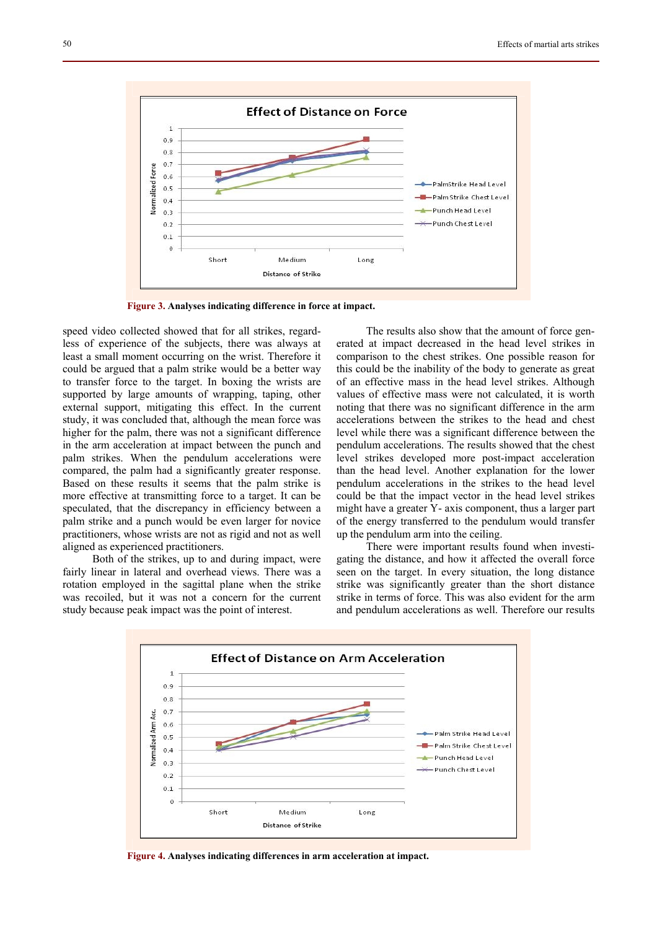

 **Figure 3. Analyses indicating difference in force at impact.** 

speed video collected showed that for all strikes, regardless of experience of the subjects, there was always at least a small moment occurring on the wrist. Therefore it could be argued that a palm strike would be a better way to transfer force to the target. In boxing the wrists are supported by large amounts of wrapping, taping, other external support, mitigating this effect. In the current study, it was concluded that, although the mean force was higher for the palm, there was not a significant difference in the arm acceleration at impact between the punch and palm strikes. When the pendulum accelerations were compared, the palm had a significantly greater response. Based on these results it seems that the palm strike is more effective at transmitting force to a target. It can be speculated, that the discrepancy in efficiency between a palm strike and a punch would be even larger for novice practitioners, whose wrists are not as rigid and not as well aligned as experienced practitioners.

Both of the strikes, up to and during impact, were fairly linear in lateral and overhead views. There was a rotation employed in the sagittal plane when the strike was recoiled, but it was not a concern for the current study because peak impact was the point of interest.

The results also show that the amount of force generated at impact decreased in the head level strikes in comparison to the chest strikes. One possible reason for this could be the inability of the body to generate as great of an effective mass in the head level strikes. Although values of effective mass were not calculated, it is worth noting that there was no significant difference in the arm accelerations between the strikes to the head and chest level while there was a significant difference between the pendulum accelerations. The results showed that the chest level strikes developed more post-impact acceleration than the head level. Another explanation for the lower pendulum accelerations in the strikes to the head level could be that the impact vector in the head level strikes might have a greater Y- axis component, thus a larger part of the energy transferred to the pendulum would transfer up the pendulum arm into the ceiling.

There were important results found when investigating the distance, and how it affected the overall force seen on the target. In every situation, the long distance strike was significantly greater than the short distance strike in terms of force. This was also evident for the arm and pendulum accelerations as well. Therefore our results



 **Figure 4. Analyses indicating differences in arm acceleration at impact.**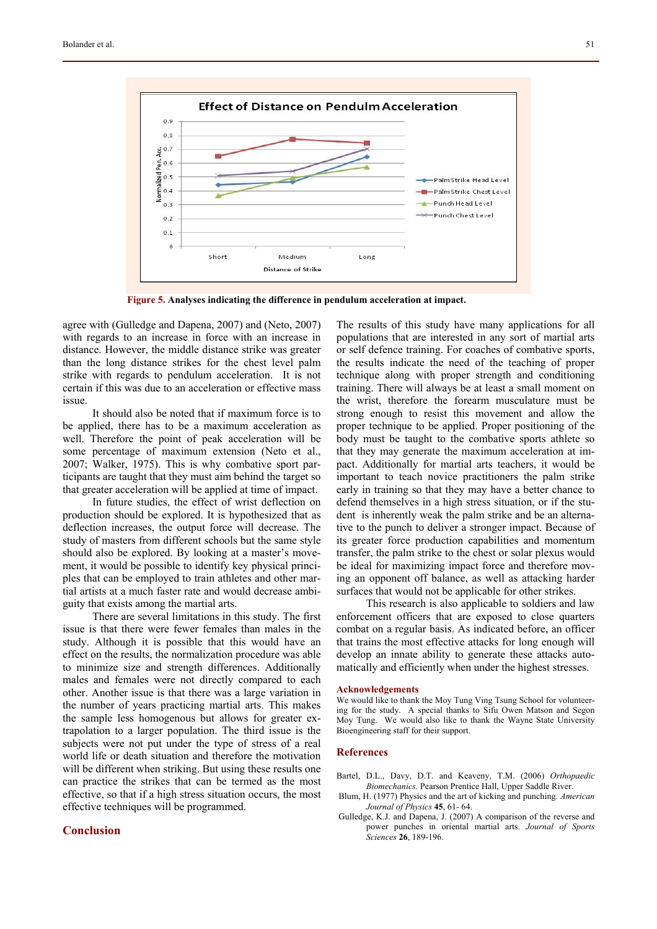

 **Figure 5. Analyses indicating the difference in pendulum acceleration at impact.** 

agree with (Gulledge and Dapena, 2007) and (Neto, 2007) with regards to an increase in force with an increase in distance. However, the middle distance strike was greater than the long distance strikes for the chest level palm strike with regards to pendulum acceleration. It is not certain if this was due to an acceleration or effective mass issue.

It should also be noted that if maximum force is to be applied, there has to be a maximum acceleration as well. Therefore the point of peak acceleration will be some percentage of maximum extension (Neto et al., 2007; Walker, 1975). This is why combative sport participants are taught that they must aim behind the target so that greater acceleration will be applied at time of impact.

In future studies, the effect of wrist deflection on production should be explored. It is hypothesized that as deflection increases, the output force will decrease. The study of masters from different schools but the same style should also be explored. By looking at a master's movement, it would be possible to identify key physical principles that can be employed to train athletes and other martial artists at a much faster rate and would decrease ambiguity that exists among the martial arts.

There are several limitations in this study. The first issue is that there were fewer females than males in the study. Although it is possible that this would have an effect on the results, the normalization procedure was able to minimize size and strength differences. Additionally males and females were not directly compared to each other. Another issue is that there was a large variation in the number of years practicing martial arts. This makes the sample less homogenous but allows for greater extrapolation to a larger population. The third issue is the subjects were not put under the type of stress of a real world life or death situation and therefore the motivation will be different when striking. But using these results one can practice the strikes that can be termed as the most effective, so that if a high stress situation occurs, the most effective techniques will be programmed.

## **Conclusion**

The results of this study have many applications for all populations that are interested in any sort of martial arts or self defence training. For coaches of combative sports, the results indicate the need of the teaching of proper technique along with proper strength and conditioning training. There will always be at least a small moment on the wrist, therefore the forearm musculature must be strong enough to resist this movement and allow the proper technique to be applied. Proper positioning of the body must be taught to the combative sports athlete so that they may generate the maximum acceleration at impact. Additionally for martial arts teachers, it would be important to teach novice practitioners the palm strike early in training so that they may have a better chance to defend themselves in a high stress situation, or if the student is inherently weak the palm strike and be an alternative to the punch to deliver a stronger impact. Because of its greater force production capabilities and momentum transfer, the palm strike to the chest or solar plexus would be ideal for maximizing impact force and therefore moving an opponent off balance, as well as attacking harder surfaces that would not be applicable for other strikes.

This research is also applicable to soldiers and law enforcement officers that are exposed to close quarters combat on a regular basis. As indicated before, an officer that trains the most effective attacks for long enough will develop an innate ability to generate these attacks automatically and efficiently when under the highest stresses.

#### **Acknowledgements**

We would like to thank the Moy Tung Ving Tsung School for volunteering for the study. A special thanks to Sifu Owen Matson and Segon Moy Tung. We would also like to thank the Wayne State University Bioengineering staff for their support.

## **References**

- Bartel, D.L., Davy, D.T. and Keaveny, T.M. (2006) *Orthopaedic Biomechanics.* Pearson Prentice Hall, Upper Saddle River.
- Blum, H. (1977) Physics and the art of kicking and punching*. American Journal of Physics* **45**, 61- 64.
- Gulledge, K.J. and Dapena, J. (2007) A comparison of the reverse and power punches in oriental martial arts. *Journal of Sports Sciences* **26**, 189-196.